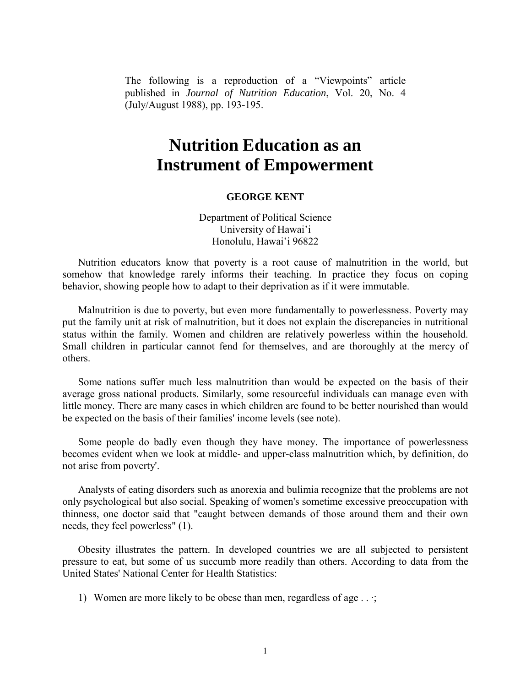The following is a reproduction of a "Viewpoints" article published in *Journal of Nutrition Education*, Vol. 20, No. 4 (July/August 1988), pp. 193-195.

## **Nutrition Education as an Instrument of Empowerment**

## **GEORGE KENT**

Department of Political Science University of Hawai'i Honolulu, Hawai'i 96822

Nutrition educators know that poverty is a root cause of malnutrition in the world, but somehow that knowledge rarely informs their teaching. In practice they focus on coping behavior, showing people how to adapt to their deprivation as if it were immutable.

Malnutrition is due to poverty, but even more fundamentally to powerlessness. Poverty may put the family unit at risk of malnutrition, but it does not explain the discrepancies in nutritional status within the family. Women and children are relatively powerless within the household. Small children in particular cannot fend for themselves, and are thoroughly at the mercy of others.

Some nations suffer much less malnutrition than would be expected on the basis of their average gross national products. Similarly, some resourceful individuals can manage even with little money. There are many cases in which children are found to be better nourished than would be expected on the basis of their families' income levels (see note).

Some people do badly even though they have money. The importance of powerlessness becomes evident when we look at middle- and upper-class malnutrition which, by definition, do not arise from poverty'.

Analysts of eating disorders such as anorexia and bulimia recognize that the problems are not only psychological but also social. Speaking of women's sometime excessive preoccupation with thinness, one doctor said that "caught between demands of those around them and their own needs, they feel powerless" (1).

Obesity illustrates the pattern. In developed countries we are all subjected to persistent pressure to eat, but some of us succumb more readily than others. According to data from the United States' National Center for Health Statistics:

1) Women are more likely to be obese than men, regardless of age . . ∙;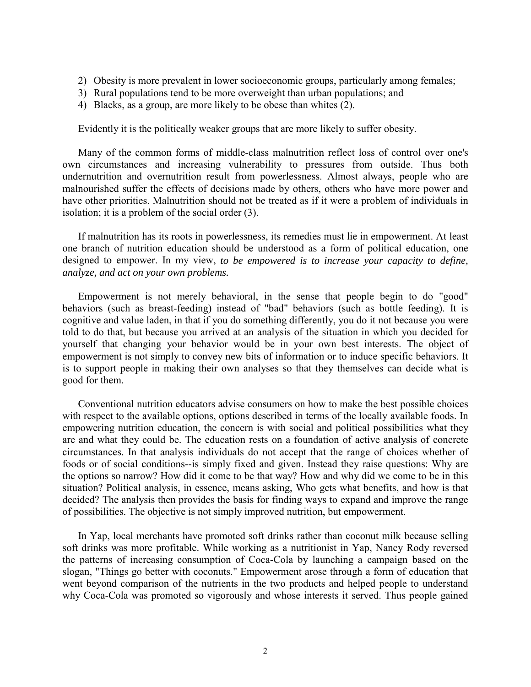- 2) Obesity is more prevalent in lower socioeconomic groups, particularly among females;
- 3) Rural populations tend to be more overweight than urban populations; and
- 4) Blacks, as a group, are more likely to be obese than whites (2).

Evidently it is the politically weaker groups that are more likely to suffer obesity.

Many of the common forms of middle-class malnutrition reflect loss of control over one's own circumstances and increasing vulnerability to pressures from outside. Thus both undernutrition and overnutrition result from powerlessness. Almost always, people who are malnourished suffer the effects of decisions made by others, others who have more power and have other priorities. Malnutrition should not be treated as if it were a problem of individuals in isolation; it is a problem of the social order (3).

If malnutrition has its roots in powerlessness, its remedies must lie in empowerment. At least one branch of nutrition education should be understood as a form of political education, one designed to empower. In my view, *to be empowered is to increase your capacity to define, analyze, and act on your own problems.*

Empowerment is not merely behavioral, in the sense that people begin to do "good" behaviors (such as breast-feeding) instead of "bad" behaviors (such as bottle feeding). It is cognitive and value laden, in that if you do something differently, you do it not because you were told to do that, but because you arrived at an analysis of the situation in which you decided for yourself that changing your behavior would be in your own best interests. The object of empowerment is not simply to convey new bits of information or to induce specific behaviors. It is to support people in making their own analyses so that they themselves can decide what is good for them.

Conventional nutrition educators advise consumers on how to make the best possible choices with respect to the available options, options described in terms of the locally available foods. In empowering nutrition education, the concern is with social and political possibilities what they are and what they could be. The education rests on a foundation of active analysis of concrete circumstances. In that analysis individuals do not accept that the range of choices whether of foods or of social conditions--is simply fixed and given. Instead they raise questions: Why are the options so narrow? How did it come to be that way? How and why did we come to be in this situation? Political analysis, in essence, means asking, Who gets what benefits, and how is that decided? The analysis then provides the basis for finding ways to expand and improve the range of possibilities. The objective is not simply improved nutrition, but empowerment.

In Yap, local merchants have promoted soft drinks rather than coconut milk because selling soft drinks was more profitable. While working as a nutritionist in Yap, Nancy Rody reversed the patterns of increasing consumption of Coca-Cola by launching a campaign based on the slogan, "Things go better with coconuts." Empowerment arose through a form of education that went beyond comparison of the nutrients in the two products and helped people to understand why Coca-Cola was promoted so vigorously and whose interests it served. Thus people gained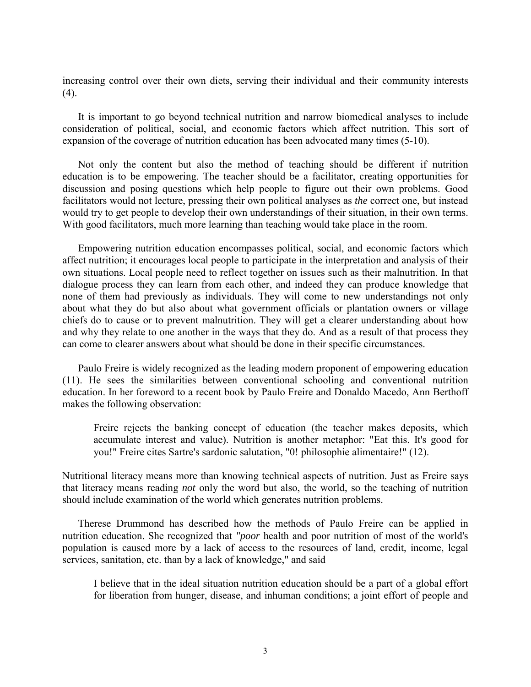increasing control over their own diets, serving their individual and their community interests  $(4)$ .

It is important to go beyond technical nutrition and narrow biomedical analyses to include consideration of political, social, and economic factors which affect nutrition. This sort of expansion of the coverage of nutrition education has been advocated many times (5-10).

Not only the content but also the method of teaching should be different if nutrition education is to be empowering. The teacher should be a facilitator, creating opportunities for discussion and posing questions which help people to figure out their own problems. Good facilitators would not lecture, pressing their own political analyses as *the* correct one, but instead would try to get people to develop their own understandings of their situation, in their own terms. With good facilitators, much more learning than teaching would take place in the room.

Empowering nutrition education encompasses political, social, and economic factors which affect nutrition; it encourages local people to participate in the interpretation and analysis of their own situations. Local people need to reflect together on issues such as their malnutrition. In that dialogue process they can learn from each other, and indeed they can produce knowledge that none of them had previously as individuals. They will come to new understandings not only about what they do but also about what government officials or plantation owners or village chiefs do to cause or to prevent malnutrition. They will get a clearer understanding about how and why they relate to one another in the ways that they do. And as a result of that process they can come to clearer answers about what should be done in their specific circumstances.

Paulo Freire is widely recognized as the leading modern proponent of empowering education (11). He sees the similarities between conventional schooling and conventional nutrition education. In her foreword to a recent book by Paulo Freire and Donaldo Macedo, Ann Berthoff makes the following observation:

Freire rejects the banking concept of education (the teacher makes deposits, which accumulate interest and value). Nutrition is another metaphor: "Eat this. It's good for you!" Freire cites Sartre's sardonic salutation, "0! philosophie alimentaire!" (12).

Nutritional literacy means more than knowing technical aspects of nutrition. Just as Freire says that literacy means reading *not* only the word but also, the world, so the teaching of nutrition should include examination of the world which generates nutrition problems.

Therese Drummond has described how the methods of Paulo Freire can be applied in nutrition education. She recognized that *"poor* health and poor nutrition of most of the world's population is caused more by a lack of access to the resources of land, credit, income, legal services, sanitation, etc. than by a lack of knowledge," and said

I believe that in the ideal situation nutrition education should be a part of a global effort for liberation from hunger, disease, and inhuman conditions; a joint effort of people and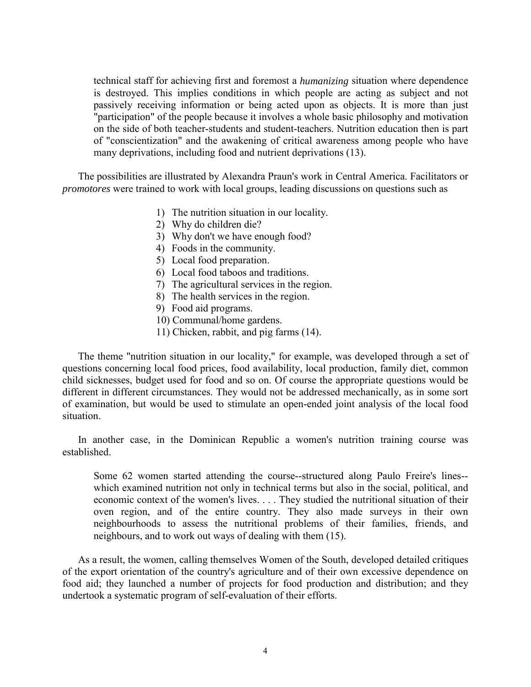technical staff for achieving first and foremost a *humanizing* situation where dependence is destroyed. This implies conditions in which people are acting as subject and not passively receiving information or being acted upon as objects. It is more than just "participation" of the people because it involves a whole basic philosophy and motivation on the side of both teacher-students and student-teachers. Nutrition education then is part of "conscientization" and the awakening of critical awareness among people who have many deprivations, including food and nutrient deprivations (13).

The possibilities are illustrated by Alexandra Praun's work in Central America. Facilitators or *promotores* were trained to work with local groups, leading discussions on questions such as

- 1) The nutrition situation in our locality.
- 2) Why do children die?
- 3) Why don't we have enough food?
- 4) Foods in the community.
- 5) Local food preparation.
- 6) Local food taboos and traditions.
- 7) The agricultural services in the region.
- 8) The health services in the region.
- 9) Food aid programs.
- 10) Communal/home gardens.
- 11) Chicken, rabbit, and pig farms (14).

The theme "nutrition situation in our locality," for example, was developed through a set of questions concerning local food prices, food availability, local production, family diet, common child sicknesses, budget used for food and so on. Of course the appropriate questions would be different in different circumstances. They would not be addressed mechanically, as in some sort of examination, but would be used to stimulate an open-ended joint analysis of the local food situation.

In another case, in the Dominican Republic a women's nutrition training course was established.

Some 62 women started attending the course--structured along Paulo Freire's lines- which examined nutrition not only in technical terms but also in the social, political, and economic context of the women's lives. . . . They studied the nutritional situation of their oven region, and of the entire country. They also made surveys in their own neighbourhoods to assess the nutritional problems of their families, friends, and neighbours, and to work out ways of dealing with them (15).

As a result, the women, calling themselves Women of the South, developed detailed critiques of the export orientation of the country's agriculture and of their own excessive dependence on food aid; they launched a number of projects for food production and distribution; and they undertook a systematic program of self-evaluation of their efforts.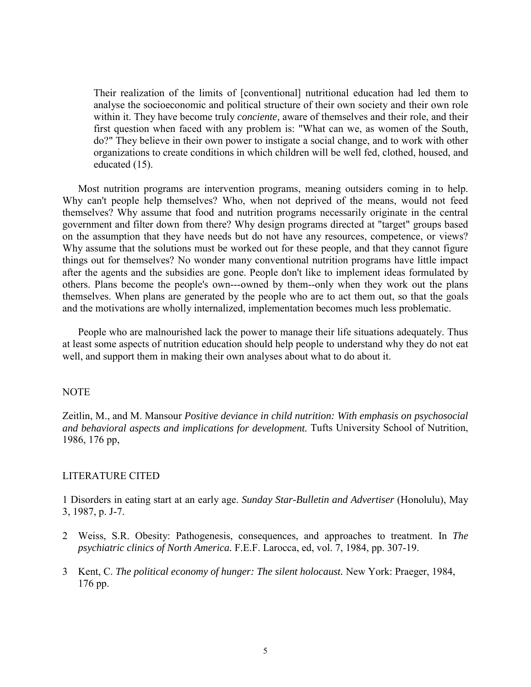Their realization of the limits of [conventional] nutritional education had led them to analyse the socioeconomic and political structure of their own society and their own role within it. They have become truly *conciente,* aware of themselves and their role, and their first question when faced with any problem is: "What can we, as women of the South, do?" They believe in their own power to instigate a social change, and to work with other organizations to create conditions in which children will be well fed, clothed, housed, and educated (15).

Most nutrition programs are intervention programs, meaning outsiders coming in to help. Why can't people help themselves? Who, when not deprived of the means, would not feed themselves? Why assume that food and nutrition programs necessarily originate in the central government and filter down from there? Why design programs directed at "target" groups based on the assumption that they have needs but do not have any resources, competence, or views? Why assume that the solutions must be worked out for these people, and that they cannot figure things out for themselves? No wonder many conventional nutrition programs have little impact after the agents and the subsidies are gone. People don't like to implement ideas formulated by others. Plans become the people's own---owned by them--only when they work out the plans themselves. When plans are generated by the people who are to act them out, so that the goals and the motivations are wholly internalized, implementation becomes much less problematic.

People who are malnourished lack the power to manage their life situations adequately. Thus at least some aspects of nutrition education should help people to understand why they do not eat well, and support them in making their own analyses about what to do about it.

## NOTE

Zeitlin, M., and M. Mansour *Positive deviance in child nutrition: With emphasis on psychosocial and behavioral aspects and implications for development.* Tufts University School of Nutrition, 1986, 176 pp,

## LITERATURE CITED

1 Disorders in eating start at an early age. *Sunday Star-Bulletin and Advertiser* (Honolulu), May 3, 1987, p. J-7.

- 2 Weiss, S.R. Obesity: Pathogenesis, consequences, and approaches to treatment. In *The psychiatric clinics of North America.* F.E.F. Larocca, ed, vol. 7, 1984, pp. 307-19.
- 3 Kent, C. *The political economy of hunger: The silent holocaust.* New York: Praeger, 1984, 176 pp.